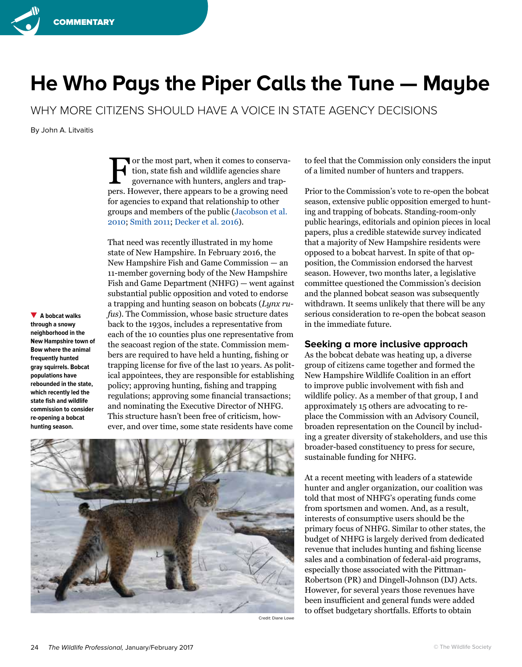

## **He Who Pays the Piper Calls the Tune — Maybe**

WHY MORE CITIZENS SHOULD HAVE A VOICE IN STATE AGENCY DECISIONS

By John A. Litvaitis

For the most part, when it comes to conserva-<br>tion, state fish and wildlife agencies share<br>governance with hunters, anglers and traption, state fish and wildlife agencies share governance with hunters, anglers and trappers. However, there appears to be a growing need for agencies to expand that relationship to other groups and members of the public (Jacobson et al. 2010; Smith 2011; Decker et al. 2016).

**A bobcat walks through a snowy neighborhood in the New Hampshire town of Bow where the animal frequently hunted gray squirrels. Bobcat populations have rebounded in the state, which recently led the state fish and wildlife commission to consider re-opening a bobcat hunting season.**

That need was recently illustrated in my home state of New Hampshire. In February 2016, the New Hampshire Fish and Game Commission — an 11-member governing body of the New Hampshire Fish and Game Department (NHFG) — went against substantial public opposition and voted to endorse a trapping and hunting season on bobcats (*Lynx rufus*). The Commission, whose basic structure dates back to the 1930s, includes a representative from each of the 10 counties plus one representative from the seacoast region of the state. Commission members are required to have held a hunting, fishing or trapping license for five of the last 10 years. As political appointees, they are responsible for establishing policy; approving hunting, fishing and trapping regulations; approving some financial transactions; and nominating the Executive Director of NHFG. This structure hasn't been free of criticism, however, and over time, some state residents have come



Credit: Diane Lowe

to feel that the Commission only considers the input of a limited number of hunters and trappers.

Prior to the Commission's vote to re-open the bobcat season, extensive public opposition emerged to hunting and trapping of bobcats. Standing-room-only public hearings, editorials and opinion pieces in local papers, plus a credible statewide survey indicated that a majority of New Hampshire residents were opposed to a bobcat harvest. In spite of that opposition, the Commission endorsed the harvest season. However, two months later, a legislative committee questioned the Commission's decision and the planned bobcat season was subsequently withdrawn. It seems unlikely that there will be any serious consideration to re-open the bobcat season in the immediate future.

## **Seeking a more inclusive approach**

As the bobcat debate was heating up, a diverse group of citizens came together and formed the New Hampshire Wildlife Coalition in an effort to improve public involvement with fish and wildlife policy. As a member of that group, I and approximately 15 others are advocating to replace the Commission with an Advisory Council, broaden representation on the Council by including a greater diversity of stakeholders, and use this broader-based constituency to press for secure, sustainable funding for NHFG.

At a recent meeting with leaders of a statewide hunter and angler organization, our coalition was told that most of NHFG's operating funds come from sportsmen and women. And, as a result, interests of consumptive users should be the primary focus of NHFG. Similar to other states, the budget of NHFG is largely derived from dedicated revenue that includes hunting and fishing license sales and a combination of federal-aid programs, especially those associated with the Pittman-Robertson (PR) and Dingell-Johnson (DJ) Acts. However, for several years those revenues have been insufficient and general funds were added to offset budgetary shortfalls. Efforts to obtain